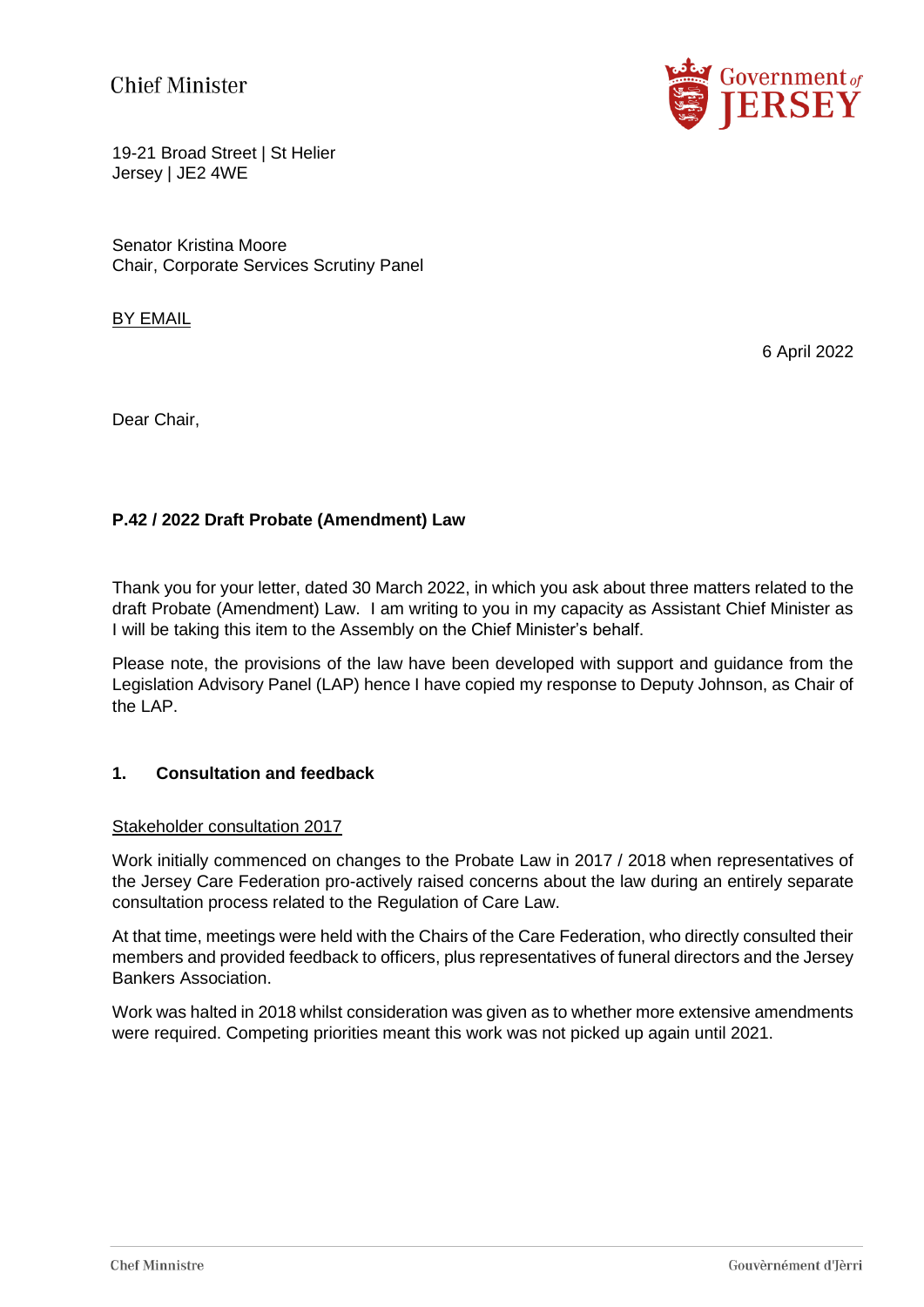**Chief Minister** 



19-21 Broad Street | St Helier Jersey | JE2 4WE

Senator Kristina Moore Chair, Corporate Services Scrutiny Panel

## BY EMAIL

6 April 2022

Dear Chair,

## **P.42 / 2022 Draft Probate (Amendment) Law**

Thank you for your letter, dated 30 March 2022, in which you ask about three matters related to the draft Probate (Amendment) Law. I am writing to you in my capacity as Assistant Chief Minister as I will be taking this item to the Assembly on the Chief Minister's behalf.

Please note, the provisions of the law have been developed with support and guidance from the Legislation Advisory Panel (LAP) hence I have copied my response to Deputy Johnson, as Chair of the LAP.

### **1. Consultation and feedback**

#### Stakeholder consultation 2017

Work initially commenced on changes to the Probate Law in 2017 / 2018 when representatives of the Jersey Care Federation pro-actively raised concerns about the law during an entirely separate consultation process related to the Regulation of Care Law.

At that time, meetings were held with the Chairs of the Care Federation, who directly consulted their members and provided feedback to officers, plus representatives of funeral directors and the Jersey Bankers Association.

Work was halted in 2018 whilst consideration was given as to whether more extensive amendments were required. Competing priorities meant this work was not picked up again until 2021.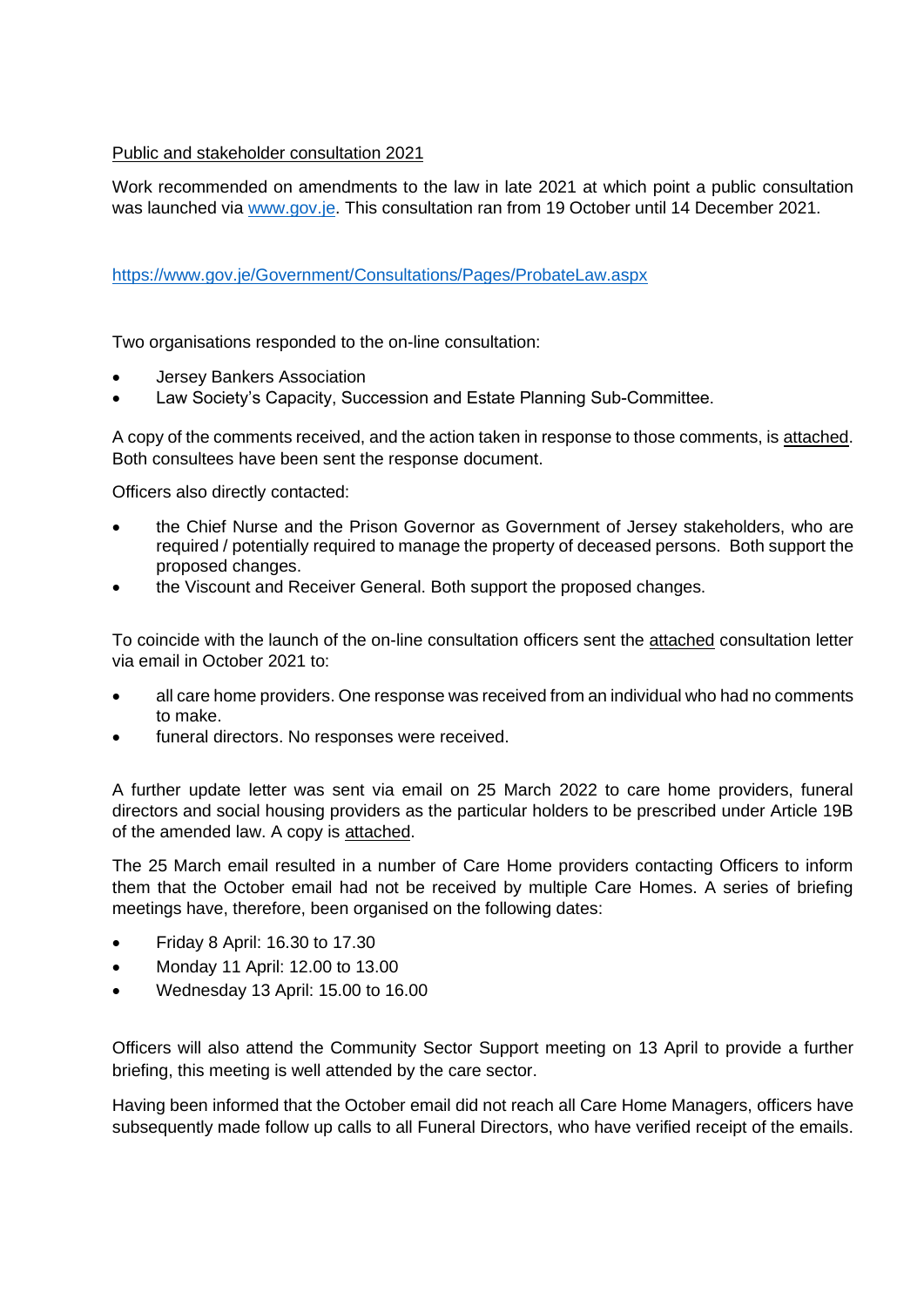# Public and stakeholder consultation 2021

Work recommended on amendments to the law in late 2021 at which point a public consultation was launched via [www.gov.je.](http://www.gov.je/) This consultation ran from 19 October until 14 December 2021.

### <https://www.gov.je/Government/Consultations/Pages/ProbateLaw.aspx>

Two organisations responded to the on-line consultation:

- Jersey Bankers Association
- Law Society's Capacity, Succession and Estate Planning Sub-Committee.

A copy of the comments received, and the action taken in response to those comments, is attached. Both consultees have been sent the response document.

Officers also directly contacted:

- the Chief Nurse and the Prison Governor as Government of Jersey stakeholders, who are required / potentially required to manage the property of deceased persons. Both support the proposed changes.
- the Viscount and Receiver General. Both support the proposed changes.

To coincide with the launch of the on-line consultation officers sent the attached consultation letter via email in October 2021 to:

- all care home providers. One response was received from an individual who had no comments to make.
- funeral directors. No responses were received.

A further update letter was sent via email on 25 March 2022 to care home providers, funeral directors and social housing providers as the particular holders to be prescribed under Article 19B of the amended law. A copy is attached.

The 25 March email resulted in a number of Care Home providers contacting Officers to inform them that the October email had not be received by multiple Care Homes. A series of briefing meetings have, therefore, been organised on the following dates:

- Friday 8 April: 16.30 to 17.30
- Monday 11 April: 12.00 to 13.00
- Wednesday 13 April: 15.00 to 16.00

Officers will also attend the Community Sector Support meeting on 13 April to provide a further briefing, this meeting is well attended by the care sector.

Having been informed that the October email did not reach all Care Home Managers, officers have subsequently made follow up calls to all Funeral Directors, who have verified receipt of the emails.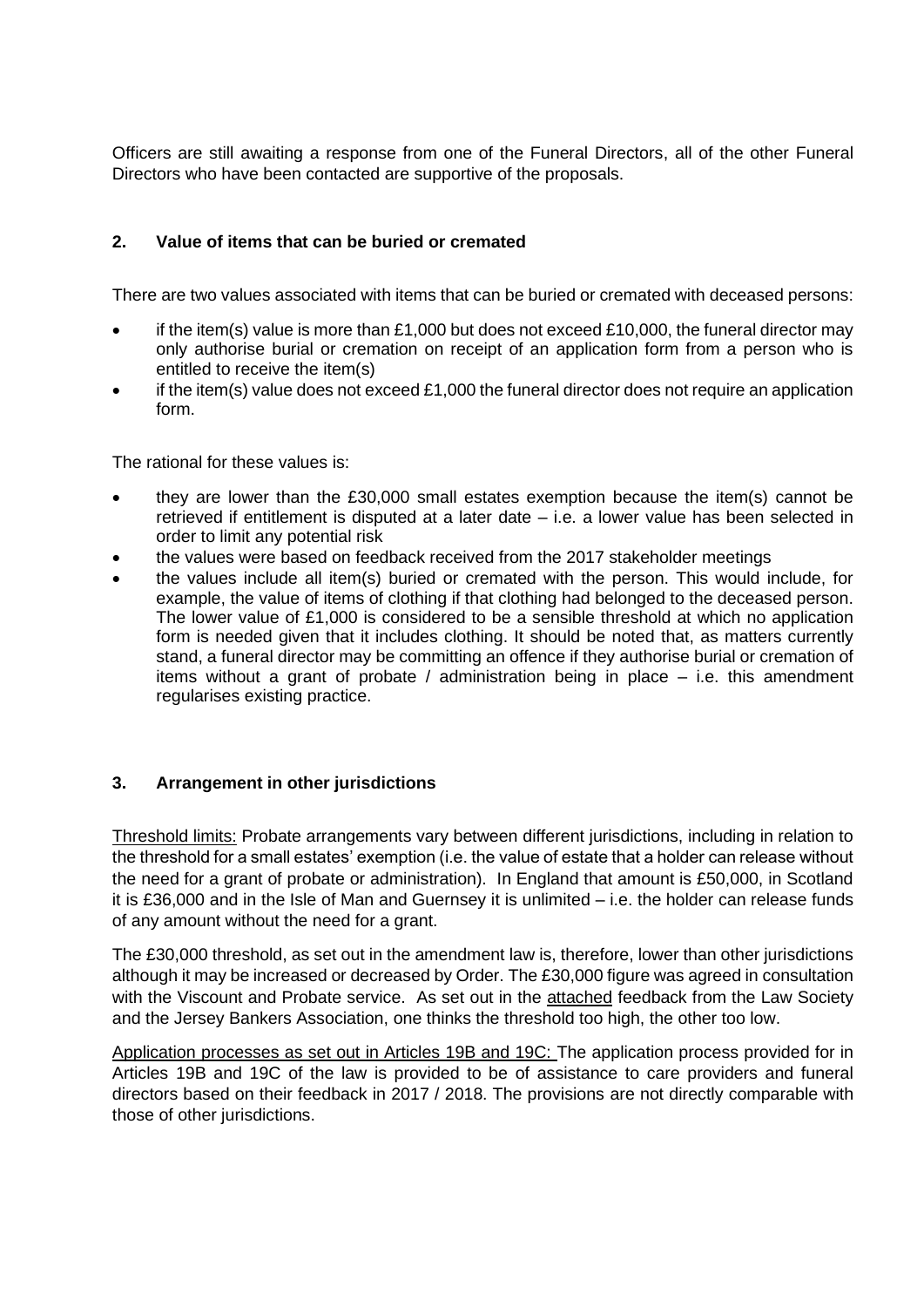Officers are still awaiting a response from one of the Funeral Directors, all of the other Funeral Directors who have been contacted are supportive of the proposals.

# **2. Value of items that can be buried or cremated**

There are two values associated with items that can be buried or cremated with deceased persons:

- if the item(s) value is more than £1,000 but does not exceed £10,000, the funeral director may only authorise burial or cremation on receipt of an application form from a person who is entitled to receive the item(s)
- if the item(s) value does not exceed £1,000 the funeral director does not require an application form.

The rational for these values is:

- they are lower than the £30,000 small estates exemption because the item(s) cannot be retrieved if entitlement is disputed at a later date – i.e. a lower value has been selected in order to limit any potential risk
- the values were based on feedback received from the 2017 stakeholder meetings
- the values include all item(s) buried or cremated with the person. This would include, for example, the value of items of clothing if that clothing had belonged to the deceased person. The lower value of £1,000 is considered to be a sensible threshold at which no application form is needed given that it includes clothing. It should be noted that, as matters currently stand, a funeral director may be committing an offence if they authorise burial or cremation of items without a grant of probate / administration being in place – i.e. this amendment regularises existing practice.

#### **3. Arrangement in other jurisdictions**

Threshold limits: Probate arrangements vary between different jurisdictions, including in relation to the threshold for a small estates' exemption (i.e. the value of estate that a holder can release without the need for a grant of probate or administration). In England that amount is £50,000, in Scotland it is £36,000 and in the Isle of Man and Guernsey it is unlimited – i.e. the holder can release funds of any amount without the need for a grant.

The £30,000 threshold, as set out in the amendment law is, therefore, lower than other jurisdictions although it may be increased or decreased by Order. The £30,000 figure was agreed in consultation with the Viscount and Probate service. As set out in the attached feedback from the Law Society and the Jersey Bankers Association, one thinks the threshold too high, the other too low.

Application processes as set out in Articles 19B and 19C: The application process provided for in Articles 19B and 19C of the law is provided to be of assistance to care providers and funeral directors based on their feedback in 2017 / 2018. The provisions are not directly comparable with those of other jurisdictions.